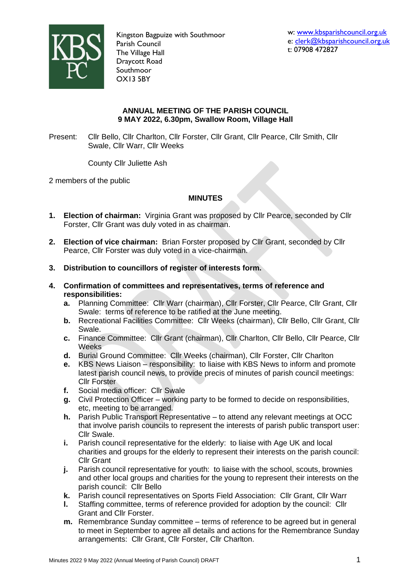

Kingston Bagpuize with Southmoor Parish Council The Village Hall Draycott Road Southmoor OX13 5BY

## **ANNUAL MEETING OF THE PARISH COUNCIL 9 MAY 2022, 6.30pm, Swallow Room, Village Hall**

Present: Cllr Bello, Cllr Charlton, Cllr Forster, Cllr Grant, Cllr Pearce, Cllr Smith, Cllr Swale, Cllr Warr, Cllr Weeks

County Cllr Juliette Ash

2 members of the public

# **MINUTES**

- **1. Election of chairman:** Virginia Grant was proposed by Cllr Pearce, seconded by Cllr Forster, Cllr Grant was duly voted in as chairman.
- **2. Election of vice chairman:** Brian Forster proposed by Cllr Grant, seconded by Cllr Pearce, Cllr Forster was duly voted in a vice-chairman.
- **3. Distribution to councillors of register of interests form.**
- **4. Confirmation of committees and representatives, terms of reference and responsibilities:**
	- **a.** Planning Committee: Cllr Warr (chairman), Cllr Forster, Cllr Pearce, Cllr Grant, Cllr Swale: terms of reference to be ratified at the June meeting.
	- **b.** Recreational Facilities Committee: Cllr Weeks (chairman), Cllr Bello, Cllr Grant, Cllr Swale.
	- **c.** Finance Committee: Cllr Grant (chairman), Cllr Charlton, Cllr Bello, Cllr Pearce, Cllr Weeks
	- **d.** Burial Ground Committee: Cllr Weeks (chairman), Cllr Forster, Cllr Charlton
	- **e.** KBS News Liaison responsibility: to liaise with KBS News to inform and promote latest parish council news, to provide precis of minutes of parish council meetings: Cllr Forster
	- **f.** Social media officer: Cllr Swale
	- **g.** Civil Protection Officer working party to be formed to decide on responsibilities, etc, meeting to be arranged.
	- **h.** Parish Public Transport Representative to attend any relevant meetings at OCC that involve parish councils to represent the interests of parish public transport user: Cllr Swale.
	- **i.** Parish council representative for the elderly: to liaise with Age UK and local charities and groups for the elderly to represent their interests on the parish council: Cllr Grant
	- **j.** Parish council representative for youth: to liaise with the school, scouts, brownies and other local groups and charities for the young to represent their interests on the parish council: Cllr Bello
	- **k.** Parish council representatives on Sports Field Association: Cllr Grant, Cllr Warr
	- **l.** Staffing committee, terms of reference provided for adoption by the council: Cllr Grant and Cllr Forster.
	- **m.** Remembrance Sunday committee terms of reference to be agreed but in general to meet in September to agree all details and actions for the Remembrance Sunday arrangements: Cllr Grant, Cllr Forster, Cllr Charlton.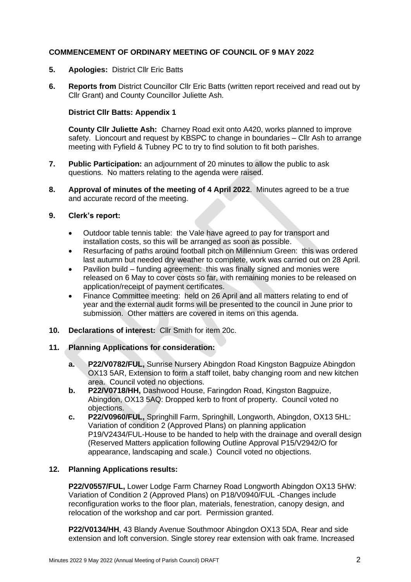# **COMMENCEMENT OF ORDINARY MEETING OF COUNCIL OF 9 MAY 2022**

- **5. Apologies:** District Cllr Eric Batts
- **6. Reports from** District Councillor Cllr Eric Batts (written report received and read out by Cllr Grant) and County Councillor Juliette Ash.

## **District Cllr Batts: Appendix 1**

**County Cllr Juliette Ash:** Charney Road exit onto A420, works planned to improve safety. Lioncourt and request by KBSPC to change in boundaries – Cllr Ash to arrange meeting with Fyfield & Tubney PC to try to find solution to fit both parishes.

- **7. Public Participation:** an adjournment of 20 minutes to allow the public to ask questions. No matters relating to the agenda were raised.
- **8. Approval of minutes of the meeting of 4 April 2022**. Minutes agreed to be a true and accurate record of the meeting.
- **9. Clerk's report:**
	- Outdoor table tennis table: the Vale have agreed to pay for transport and installation costs, so this will be arranged as soon as possible.
	- Resurfacing of paths around football pitch on Millennium Green: this was ordered last autumn but needed dry weather to complete, work was carried out on 28 April.
	- Pavilion build funding agreement: this was finally signed and monies were released on 6 May to cover costs so far, with remaining monies to be released on application/receipt of payment certificates.
	- Finance Committee meeting: held on 26 April and all matters relating to end of year and the external audit forms will be presented to the council in June prior to submission. Other matters are covered in items on this agenda.
- **10. Declarations of interest:** Cllr Smith for item 20c.

#### **11. Planning Applications for consideration:**

- **a. P22/V0782/FUL,** Sunrise Nursery Abingdon Road Kingston Bagpuize Abingdon OX13 5AR, Extension to form a staff toilet, baby changing room and new kitchen area. Council voted no objections.
- **b. P22/V0718/HH,** Dashwood House, Faringdon Road, Kingston Bagpuize, Abingdon, OX13 5AQ: Dropped kerb to front of property. Council voted no objections.
- **c. P22/V0960/FUL,** Springhill Farm, Springhill, Longworth, Abingdon, OX13 5HL: Variation of condition 2 (Approved Plans) on planning application P19/V2434/FUL-House to be handed to help with the drainage and overall design (Reserved Matters application following Outline Approval P15/V2942/O for appearance, landscaping and scale.) Council voted no objections.

#### **12. Planning Applications results:**

**P22/V0557/FUL,** Lower Lodge Farm Charney Road Longworth Abingdon OX13 5HW: Variation of Condition 2 (Approved Plans) on P18/V0940/FUL -Changes include reconfiguration works to the floor plan, materials, fenestration, canopy design, and relocation of the workshop and car port. Permission granted.

**P22/V0134/HH**, 43 Blandy Avenue Southmoor Abingdon OX13 5DA, Rear and side extension and loft conversion. Single storey rear extension with oak frame. Increased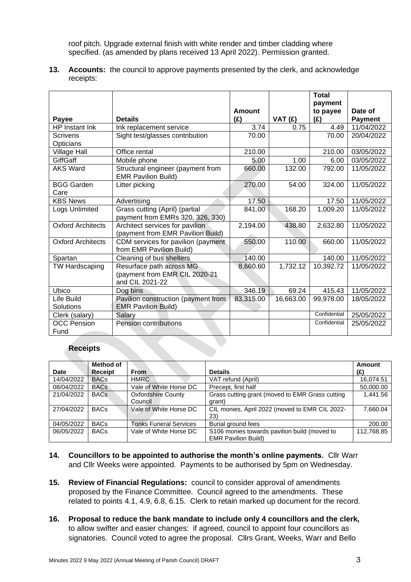roof pitch. Upgrade external finish with white render and timber cladding where specified. (as amended by plans received 13 April 2022). Permission granted.

**13. Accounts:** the council to approve payments presented by the clerk, and acknowledge receipts:

|                            |                                                                              |           |           | <b>Total</b><br>payment |                |
|----------------------------|------------------------------------------------------------------------------|-----------|-----------|-------------------------|----------------|
|                            |                                                                              | Amount    |           | to payee                | Date of        |
| Payee                      | <b>Details</b>                                                               | (E)       | VAT(E)    | (E)                     | <b>Payment</b> |
| HP Instant Ink             | Ink replacement service                                                      | 3.74      | 0.75      | 4.49                    | 11/04/2022     |
| Scrivens<br>Opticians      | Sight test/glasses contribution                                              | 70.00     |           | 70.00                   | 20/04/2022     |
| <b>Village Hall</b>        | Office rental                                                                | 210.00    |           | 210.00                  | 03/05/2022     |
| GiffGaff                   | Mobile phone                                                                 | 5.00      | 1.00      | 6.00                    | 03/05/2022     |
| <b>AKS Ward</b>            | Structural engineer (payment from<br><b>EMR Pavilion Build)</b>              | 660.00    | 132.00    | 792.00                  | 11/05/2022     |
| <b>BGG Garden</b><br>Care  | Litter picking                                                               | 270.00    | 54.00     | 324.00                  | 11/05/2022     |
| <b>KBS News</b>            | Advertising                                                                  | 17.50     |           | 17.50                   | 11/05/2022     |
| Logs Unlimited             | Grass cutting (April) (partial<br>payment from EMRs 320, 326, 330)           | 841.00    | 168.20    | 1,009.20                | 11/05/2022     |
| <b>Oxford Architects</b>   | Architect services for pavilion<br>(payment from EMR Pavilion Build)         | 2,194.00  | 438.80    | 2,632.80                | 11/05/2022     |
| <b>Oxford Architects</b>   | CDM services for pavilion (payment<br>from EMR Pavilion Build)               | 550.00    | 110.00    | 660.00                  | 11/05/2022     |
| Spartan                    | Cleaning of bus shelters                                                     | 140.00    |           | 140.00                  | 11/05/2022     |
| TW Hardscaping             | Resurface path across MG<br>(payment from EMR CIL 2020-21<br>and CIL 2021-22 | 8,660.60  | 1,732.12  | 10,392.72               | 11/05/2022     |
| Ubico                      | Dog bins                                                                     | 346.19    | 69.24     | 415.43                  | 11/05/2022     |
| Life Build<br>Solutions    | Pavilion construction (payment from<br><b>EMR Pavilion Build)</b>            | 83,315.00 | 16,663.00 | 99,978.00               | 18/05/2022     |
| Clerk (salary)             | Salary                                                                       |           |           | Confidential            | 25/05/2022     |
| <b>OCC Pension</b><br>Fund | Pension contributions                                                        |           |           | Confidential            | 25/05/2022     |

#### **Receipts**

|            | Method of   |                               |                                                 | Amount     |
|------------|-------------|-------------------------------|-------------------------------------------------|------------|
| Date       | Receipt     | <b>From</b>                   | <b>Details</b>                                  | (£)        |
| 14/04/2022 | <b>BACs</b> | <b>HMRC</b>                   | VAT refund (April)                              | 16.074.51  |
| 08/04/2022 | <b>BACs</b> | Vale of White Horse DC        | Precept, first half                             | 50,000.00  |
| 21/04/2022 | <b>BACs</b> | <b>Oxfordshire County</b>     | Grass cutting grant (moved to EMR Grass cutting | 1.441.56   |
|            |             | Council                       | arant)                                          |            |
| 27/04/2022 | <b>BACs</b> | Vale of White Horse DC        | CIL monies, April 2022 (moved to EMR CIL 2022-  | 7.660.04   |
|            |             |                               | 23)                                             |            |
| 04/05/2022 | <b>BACs</b> | <b>Tonks Funeral Services</b> | Burial ground fees                              | 200.00     |
| 06/05/2022 | <b>BACs</b> | Vale of White Horse DC        | S106 monies towards pavilion build (moved to    | 112,768.85 |
|            |             |                               | <b>EMR Pavilion Build)</b>                      |            |

- **14. Councillors to be appointed to authorise the month's online payments.** Cllr Warr and Cllr Weeks were appointed. Payments to be authorised by 5pm on Wednesday.
- **15. Review of Financial Regulations:** council to consider approval of amendments proposed by the Finance Committee. Council agreed to the amendments. These related to points 4.1, 4.9, 6.8, 6.15. Clerk to retain marked up document for the record.
- **16. Proposal to reduce the bank mandate to include only 4 councillors and the clerk,**  to allow swifter and easier changes: if agreed, council to appoint four councillors as signatories. Council voted to agree the proposal. Cllrs Grant, Weeks, Warr and Bello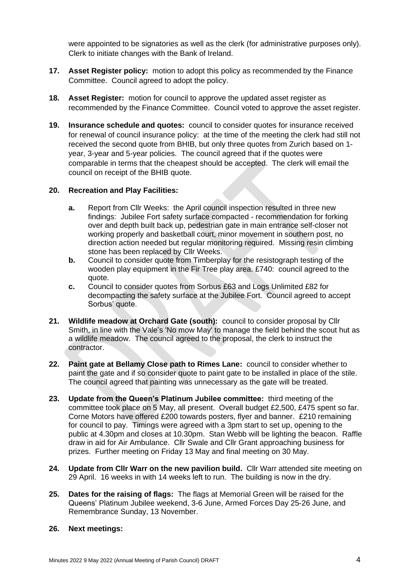were appointed to be signatories as well as the clerk (for administrative purposes only). Clerk to initiate changes with the Bank of Ireland.

- **17. Asset Register policy:** motion to adopt this policy as recommended by the Finance Committee. Council agreed to adopt the policy.
- **18. Asset Register:** motion for council to approve the updated asset register as recommended by the Finance Committee. Council voted to approve the asset register.
- **19. Insurance schedule and quotes:** council to consider quotes for insurance received for renewal of council insurance policy: at the time of the meeting the clerk had still not received the second quote from BHIB, but only three quotes from Zurich based on 1 year, 3-year and 5-year policies. The council agreed that if the quotes were comparable in terms that the cheapest should be accepted. The clerk will email the council on receipt of the BHIB quote.

### **20. Recreation and Play Facilities:**

- **a.** Report from Cllr Weeks: the April council inspection resulted in three new findings: Jubilee Fort safety surface compacted - recommendation for forking over and depth built back up, pedestrian gate in main entrance self-closer not working properly and basketball court, minor movement in southern post, no direction action needed but regular monitoring required. Missing resin climbing stone has been replaced by Cllr Weeks.
- **b.** Council to consider quote from Timberplay for the resistograph testing of the wooden play equipment in the Fir Tree play area. £740: council agreed to the quote.
- **c.** Council to consider quotes from Sorbus £63 and Logs Unlimited £82 for decompacting the safety surface at the Jubilee Fort. Council agreed to accept Sorbus' quote.
- **21. Wildlife meadow at Orchard Gate (south):** council to consider proposal by Cllr Smith, in line with the Vale's 'No mow May' to manage the field behind the scout hut as a wildlife meadow. The council agreed to the proposal, the clerk to instruct the contractor.
- **22. Paint gate at Bellamy Close path to Rimes Lane:** council to consider whether to paint the gate and if so consider quote to paint gate to be installed in place of the stile. The council agreed that painting was unnecessary as the gate will be treated.
- **23. Update from the Queen's Platinum Jubilee committee:** third meeting of the committee took place on 5 May, all present. Overall budget £2,500, £475 spent so far. Corne Motors have offered £200 towards posters, flyer and banner. £210 remaining for council to pay. Timings were agreed with a 3pm start to set up, opening to the public at 4.30pm and closes at 10.30pm. Stan Webb will be lighting the beacon. Raffle draw in aid for Air Ambulance. Cllr Swale and Cllr Grant approaching business for prizes. Further meeting on Friday 13 May and final meeting on 30 May.
- **24. Update from Cllr Warr on the new pavilion build.** Cllr Warr attended site meeting on 29 April. 16 weeks in with 14 weeks left to run. The building is now in the dry.
- **25. Dates for the raising of flags:** The flags at Memorial Green will be raised for the Queens' Platinum Jubilee weekend, 3-6 June, Armed Forces Day 25-26 June, and Remembrance Sunday, 13 November.

#### **26. Next meetings:**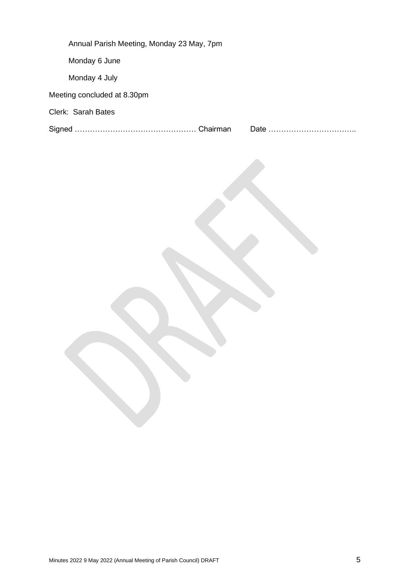| Annual Parish Meeting, Monday 23 May, 7pm |  |
|-------------------------------------------|--|
| Monday 6 June                             |  |
| Monday 4 July                             |  |
| Meeting concluded at 8.30pm               |  |
| Clerk: Sarah Bates                        |  |
|                                           |  |